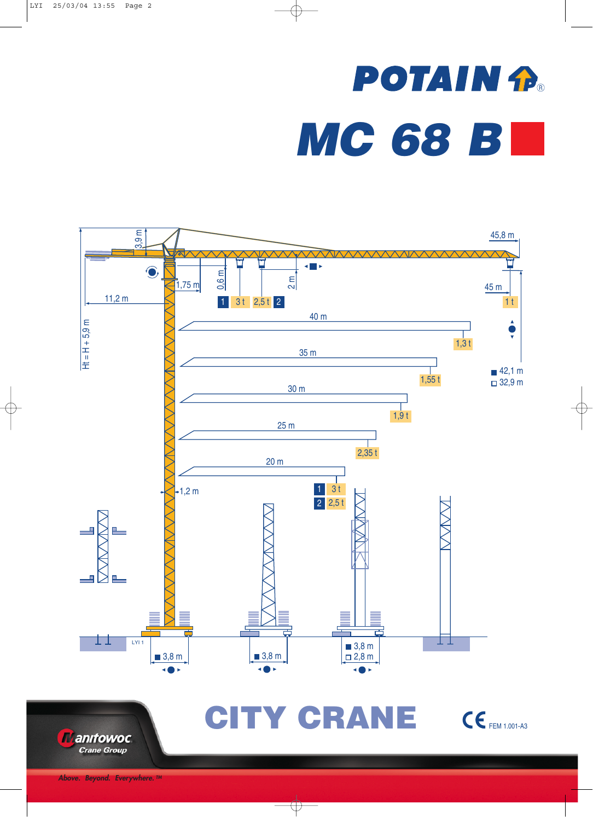## **POTAIN P.** *MC 68 B*



**Manifowoc Crane Group** 

CITY CRANE CEFEM 1.001-A3

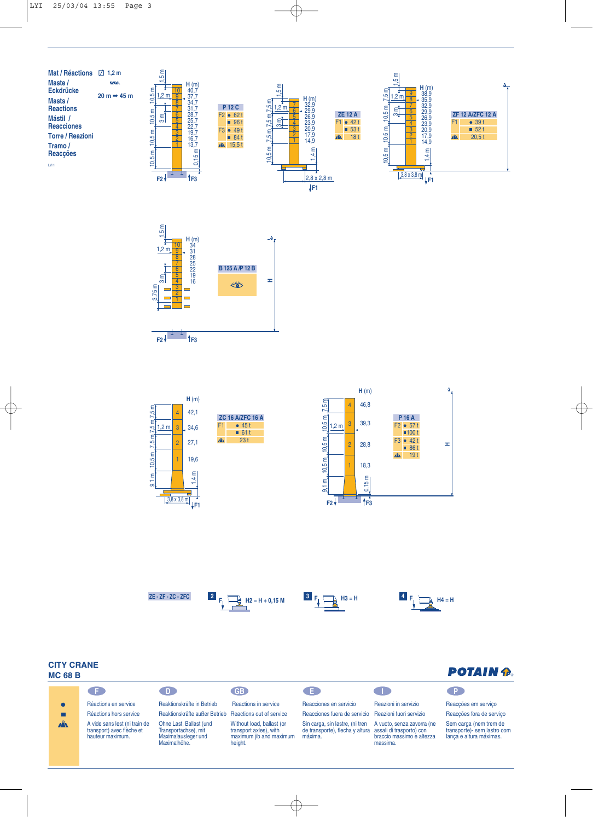













**POTAIN P.** 

## **CITY CRANE MC 68 B**

| .            |                                                                                |                                                                                        |                                                                                           |                                                                                                        |                                                                     |                                                                                  |  |  |
|--------------|--------------------------------------------------------------------------------|----------------------------------------------------------------------------------------|-------------------------------------------------------------------------------------------|--------------------------------------------------------------------------------------------------------|---------------------------------------------------------------------|----------------------------------------------------------------------------------|--|--|
|              | GE.                                                                            | <b>D</b>                                                                               | GB                                                                                        | . ED                                                                                                   |                                                                     | $\blacksquare$                                                                   |  |  |
|              | Réactions en service                                                           | Reaktionskräfte in Betrieb                                                             | Reactions in service                                                                      | Reacciones en servicio                                                                                 | Reazioni in servizio                                                | Reaccões em serviço                                                              |  |  |
|              | Réactions hors service                                                         | Reaktionskräfte außer Betrieb Reactions out of service                                 |                                                                                           | Reacciones fuera de servicio Reazioni fuori servizio                                                   |                                                                     | Reaccões fora de servico                                                         |  |  |
| $\mathbf{A}$ | A vide sans lest (ni train de<br>transport) avec flèche et<br>hauteur maximum. | Ohne Last. Ballast (und<br>Transportachse), mit<br>Maximalausleger und<br>Maximalhöhe. | Without load, ballast (or<br>transport axles), with<br>maximum jib and maximum<br>height. | Sin carga, sin lastre, (ni tren<br>de transporte), flecha y altura assali di trasporto) con<br>máxima. | A vuoto, senza zavorra (ne<br>braccio massimo e altezza<br>massima. | Sem carga (nem trem de<br>transporte)- sem lastro com<br>lanca e altura máximas. |  |  |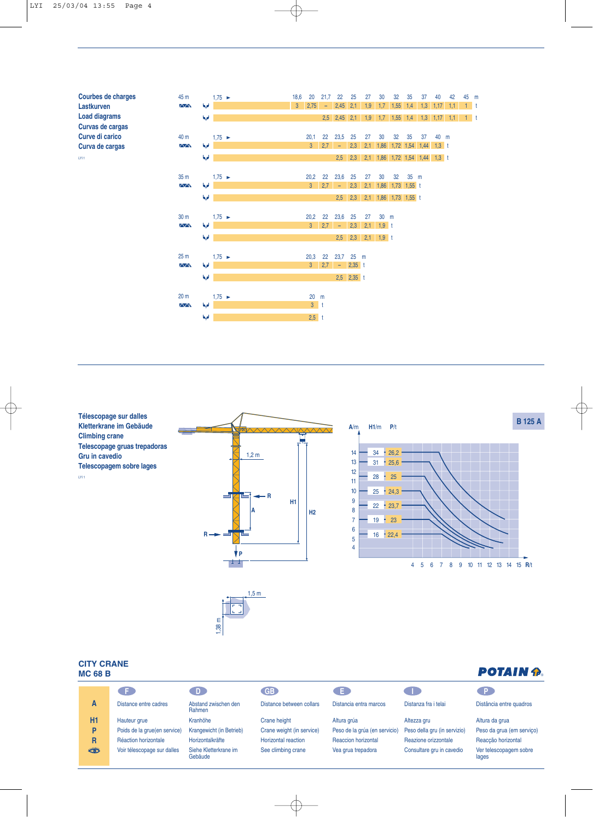**Courbes de charges Lastkurven Load diagrams Curvas de cargas Curve di carico Curva de cargas** LYI 1



**Télescopage sur dalles Kletterkrane im Gebäude Climbing crane Telescopage gruas trepadoras Gru in cavedio Telescopagem sobre lages** LYI 1

**CITY CRANE MC 68 B**



## 1,38 m  $1,5 m$

## **POTAIN P.**

|                | - F -                        | 41)                              | GE                         | - E -                         |                              | -P.                             |
|----------------|------------------------------|----------------------------------|----------------------------|-------------------------------|------------------------------|---------------------------------|
| A              | Distance entre cadres        | Abstand zwischen den<br>Rahmen   | Distance between collars   | Distancia entra marcos        | Distanza fra i telai         | Distância entre quadros         |
| H <sub>1</sub> | Hauteur grue                 | Kranhöhe                         | Crane height               | Altura grúa                   | Altezza gru                  | Altura da grua                  |
| P              | Poids de la grue(en service) | Krangewicht (in Betrieb)         | Crane weight (in service)  | Peso de la grúa (en servicio) | Peso della gru (in servizio) | Peso da grua (em serviço)       |
| R              | Réaction horizontale         | Horizontalkräfte                 | <b>Horizontal reaction</b> | <b>Reaccion horizontal</b>    | Reazione orizzontale         | Reaccão horizontal              |
| ₩              | Voir télescopage sur dalles  | Siehe Kletterkrane im<br>Gebäude | See climbing crane         | Vea grua trepadora            | Consultare gru in cavedio    | Ver telescopagem sobre<br>lages |
|                |                              |                                  |                            |                               |                              |                                 |